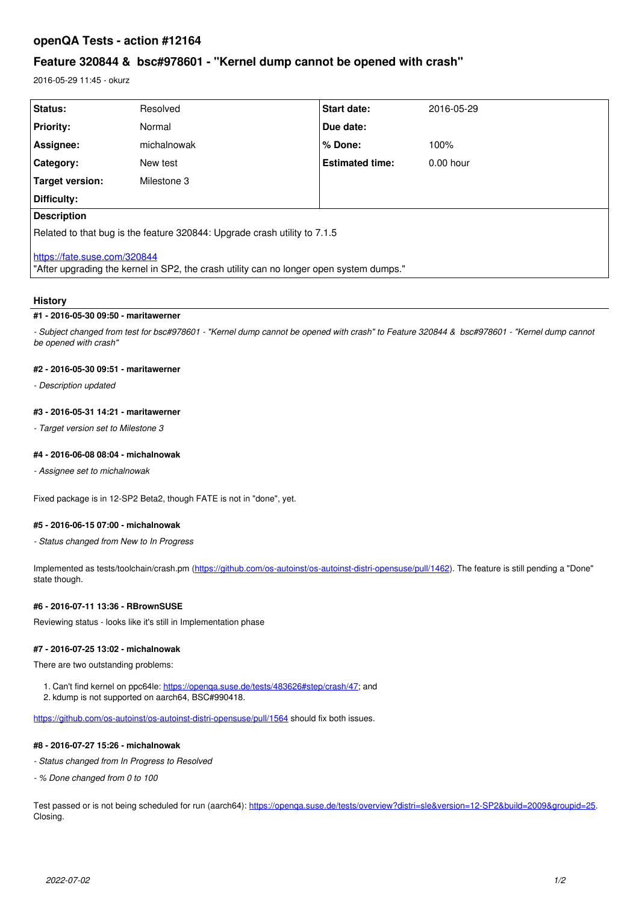## **openQA Tests - action #12164**

# **Feature 320844 & bsc#978601 - "Kernel dump cannot be opened with crash"**

2016-05-29 11:45 - okurz

| Status:                                                                                                                 | Resolved    | <b>Start date:</b>     | 2016-05-29  |
|-------------------------------------------------------------------------------------------------------------------------|-------------|------------------------|-------------|
| <b>Priority:</b>                                                                                                        | Normal      | Due date:              |             |
| Assignee:                                                                                                               | michalnowak | % Done:                | 100%        |
| <b>Category:</b>                                                                                                        | New test    | <b>Estimated time:</b> | $0.00$ hour |
| Target version:                                                                                                         | Milestone 3 |                        |             |
| Difficulty:                                                                                                             |             |                        |             |
| <b>Description</b>                                                                                                      |             |                        |             |
| Related to that bug is the feature 320844: Upgrade crash utility to 7.1.5                                               |             |                        |             |
| https://fate.suse.com/320844<br>"After upgrading the kernel in SP2, the crash utility can no longer open system dumps." |             |                        |             |

#### **History**

### **#1 - 2016-05-30 09:50 - maritawerner**

*- Subject changed from test for bsc#978601 - "Kernel dump cannot be opened with crash" to Feature 320844 & bsc#978601 - "Kernel dump cannot be opened with crash"*

### **#2 - 2016-05-30 09:51 - maritawerner**

*- Description updated*

#### **#3 - 2016-05-31 14:21 - maritawerner**

*- Target version set to Milestone 3*

### **#4 - 2016-06-08 08:04 - michalnowak**

*- Assignee set to michalnowak*

Fixed package is in 12-SP2 Beta2, though FATE is not in "done", yet.

#### **#5 - 2016-06-15 07:00 - michalnowak**

*- Status changed from New to In Progress*

Implemented as tests/toolchain/crash.pm [\(https://github.com/os-autoinst/os-autoinst-distri-opensuse/pull/1462\)](https://github.com/os-autoinst/os-autoinst-distri-opensuse/pull/1462). The feature is still pending a "Done" state though.

### **#6 - 2016-07-11 13:36 - RBrownSUSE**

Reviewing status - looks like it's still in Implementation phase

#### **#7 - 2016-07-25 13:02 - michalnowak**

There are two outstanding problems:

- 1. Can't find kernel on ppc64le: [https://openqa.suse.de/tests/483626#step/crash/47;](https://openqa.suse.de/tests/483626#step/crash/47) and
- 2. kdump is not supported on aarch64, BSC#990418.

<https://github.com/os-autoinst/os-autoinst-distri-opensuse/pull/1564>should fix both issues.

## **#8 - 2016-07-27 15:26 - michalnowak**

- *Status changed from In Progress to Resolved*
- *% Done changed from 0 to 100*

Test passed or is not being scheduled for run (aarch64):<https://openqa.suse.de/tests/overview?distri=sle&version=12-SP2&build=2009&groupid=25>. Closing.